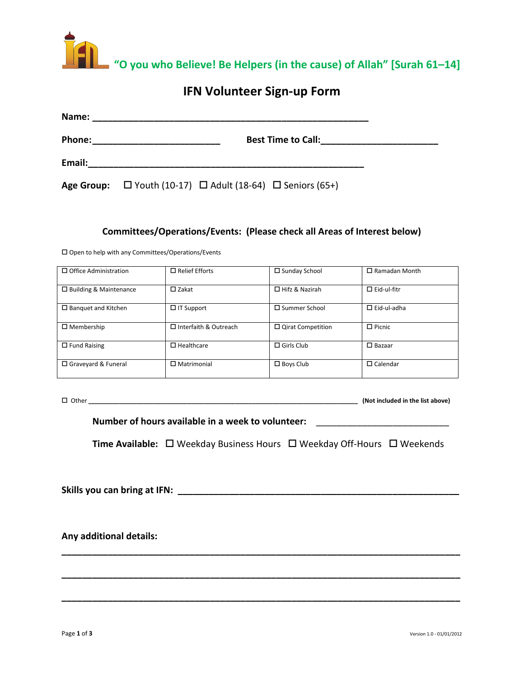

## **IFN Volunteer Sign-up Form**

| Name:  |                                                                           |  |
|--------|---------------------------------------------------------------------------|--|
| Phone: | <b>Best Time to Call:</b>                                                 |  |
| Email: |                                                                           |  |
|        | Age Group: $\Box$ Youth (10-17) $\Box$ Adult (18-64) $\Box$ Seniors (65+) |  |

#### **Committees/Operations/Events: (Please check all Areas of Interest below)**

 $\square$  Open to help with any Committees/Operations/Events

| $\Box$ Office Administration  | $\Box$ Relief Efforts        | $\square$ Sunday School  | $\Box$ Ramadan Month |
|-------------------------------|------------------------------|--------------------------|----------------------|
| $\Box$ Building & Maintenance | $\square$ Zakat              | $\Box$ Hifz & Nazirah    | $\Box$ Eid-ul-fitr   |
| $\Box$ Banquet and Kitchen    | $\Box$ IT Support            | $\square$ Summer School  | $\Box$ Eid-ul-adha   |
| $\Box$ Membership             | $\Box$ Interfaith & Outreach | $\Box$ Qirat Competition | $\Box$ Picnic        |
| $\Box$ Fund Raising           | $\Box$ Healthcare            | $\Box$ Girls Club        | $\Box$ Bazaar        |
| □ Graveyard & Funeral         | $\Box$ Matrimonial           | $\Box$ Boys Club         | $\Box$ Calendar      |

Other **\_\_\_\_\_\_\_\_\_\_\_\_\_\_\_\_\_\_\_\_\_\_\_\_\_\_\_\_\_\_\_\_\_\_\_\_\_\_\_\_\_\_\_\_\_\_\_\_\_\_\_\_\_\_\_\_\_\_\_\_\_\_\_\_\_\_\_\_\_\_\_\_\_\_\_\_\_\_\_ (Not included in the list above)**

Number of hours available in a week to volunteer:

**Time Available:** □ Weekday Business Hours □ Weekday Off-Hours □ Weekends

**Skills you can bring at IFN: \_\_\_\_\_\_\_\_\_\_\_\_\_\_\_\_\_\_\_\_\_\_\_\_\_\_\_\_\_\_\_\_\_\_\_\_\_\_\_\_\_\_\_\_\_\_\_\_\_\_\_\_\_\_\_**

**\_\_\_\_\_\_\_\_\_\_\_\_\_\_\_\_\_\_\_\_\_\_\_\_\_\_\_\_\_\_\_\_\_\_\_\_\_\_\_\_\_\_\_\_\_\_\_\_\_\_\_\_\_\_\_\_\_\_\_\_\_\_\_\_\_\_\_\_\_\_\_\_\_\_\_\_\_\_**

**\_\_\_\_\_\_\_\_\_\_\_\_\_\_\_\_\_\_\_\_\_\_\_\_\_\_\_\_\_\_\_\_\_\_\_\_\_\_\_\_\_\_\_\_\_\_\_\_\_\_\_\_\_\_\_\_\_\_\_\_\_\_\_\_\_\_\_\_\_\_\_\_\_\_\_\_\_\_**

**\_\_\_\_\_\_\_\_\_\_\_\_\_\_\_\_\_\_\_\_\_\_\_\_\_\_\_\_\_\_\_\_\_\_\_\_\_\_\_\_\_\_\_\_\_\_\_\_\_\_\_\_\_\_\_\_\_\_\_\_\_\_\_\_\_\_\_\_\_\_\_\_\_\_\_\_\_\_**

**Any additional details:**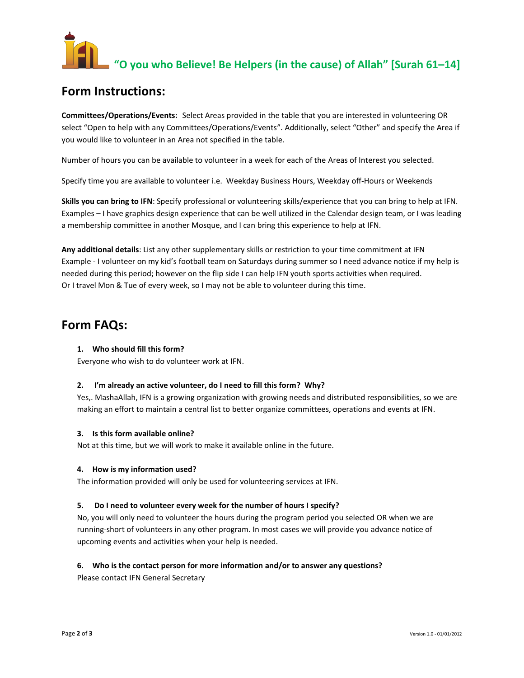# "O you who Believe! Be Helpers (in the cause) of Allah" [Surah 61–14]

## **Form Instructions:**

**Committees/Operations/Events:** Select Areas provided in the table that you are interested in volunteering OR select "Open to help with any Committees/Operations/Events". Additionally, select "Other" and specify the Area if you would like to volunteer in an Area not specified in the table.

Number of hours you can be available to volunteer in a week for each of the Areas of Interest you selected.

Specify time you are available to volunteer i.e. Weekday Business Hours, Weekday off-Hours or Weekends

**Skills you can bring to IFN**: Specify professional or volunteering skills/experience that you can bring to help at IFN. Examples – I have graphics design experience that can be well utilized in the Calendar design team, or I was leading a membership committee in another Mosque, and I can bring this experience to help at IFN.

**Any additional details**: List any other supplementary skills or restriction to your time commitment at IFN Example - I volunteer on my kid's football team on Saturdays during summer so I need advance notice if my help is needed during this period; however on the flip side I can help IFN youth sports activities when required. Or I travel Mon & Tue of every week, so I may not be able to volunteer during this time.

### **Form FAQs:**

#### **1. Who should fill this form?**

Everyone who wish to do volunteer work at IFN.

#### **2. I'm already an active volunteer, do I need to fill this form? Why?**

Yes,. MashaAllah, IFN is a growing organization with growing needs and distributed responsibilities, so we are making an effort to maintain a central list to better organize committees, operations and events at IFN.

#### **3. Is this form available online?**

Not at this time, but we will work to make it available online in the future.

#### **4. How is my information used?**

The information provided will only be used for volunteering services at IFN.

#### **5. Do I need to volunteer every week for the number of hours I specify?**

No, you will only need to volunteer the hours during the program period you selected OR when we are running-short of volunteers in any other program. In most cases we will provide you advance notice of upcoming events and activities when your help is needed.

#### **6. Who is the contact person for more information and/or to answer any questions?**

Please contact IFN General Secretary